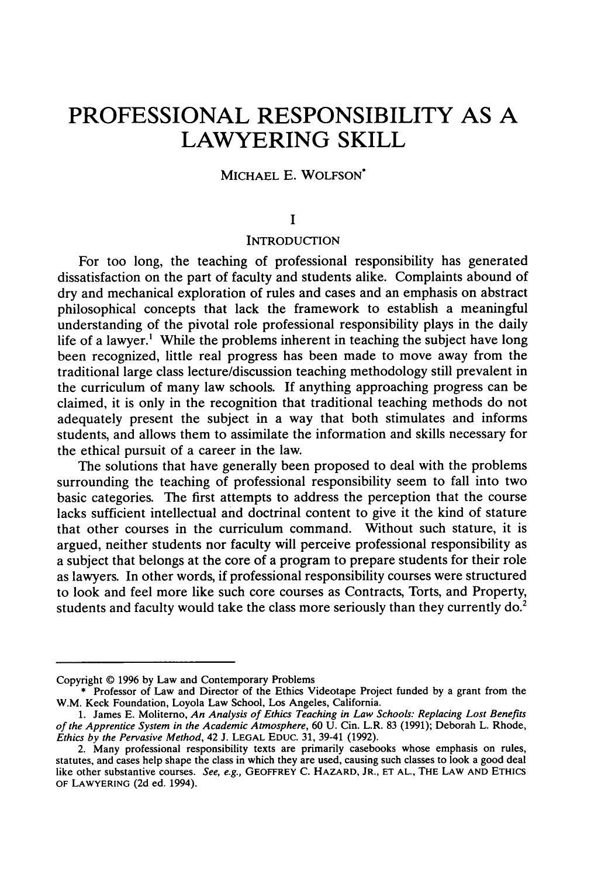# **PROFESSIONAL RESPONSIBILITY AS A LAWYERING SKILL**

# MICHAEL E. WOLFSON\*

#### **I**

## **INTRODUCTION**

For too long, the teaching of professional responsibility has generated dissatisfaction on the part of faculty and students alike. Complaints abound of dry and mechanical exploration of rules and cases and an emphasis on abstract philosophical concepts that lack the framework to establish a meaningful understanding of the pivotal role professional responsibility plays in the daily life of a lawyer.' While the problems inherent in teaching the subject have long been recognized, little real progress has been made to move away from the traditional large class lecture/discussion teaching methodology still prevalent in the curriculum of many law schools. If anything approaching progress can be claimed, it is only in the recognition that traditional teaching methods do not adequately present the subject in a way that both stimulates and informs students, and allows them to assimilate the information and skills necessary for the ethical pursuit of a career in the law.

The solutions that have generally been proposed to deal with the problems surrounding the teaching of professional responsibility seem to fall into two basic categories. The first attempts to address the perception that the course lacks sufficient intellectual and doctrinal content to give it the kind of stature that other courses in the curriculum command. Without such stature, it is argued, neither students nor faculty will perceive professional responsibility as a subject that belongs at the core of a program to prepare students for their role as lawyers. In other words, if professional responsibility courses were structured to look and feel more like such core courses as Contracts, Torts, and Property, students and faculty would take the class more seriously than they currently  $\mathrm{do}^2$ 

Copyright © 1996 by Law and Contemporary Problems

<sup>\*</sup> Professor of Law and Director of the Ethics Videotape Project funded by a grant from the W.M. Keck Foundation, Loyola Law School, Los Angeles, California.

<sup>1.</sup> James E. Moliterno, *An Analysis of Ethics Teaching in Law Schools: Replacing Lost Benefits of the Apprentice System in the Academic Atmosphere,* 60 U. Cin. L.R. 83 (1991); Deborah L. Rhode, *Ethics by the Pervasive Method,* 42 J. **LEGAL** EDUc. **31,** 39-41 (1992).

<sup>2.</sup> Many professional responsibility texts are primarily casebooks whose emphasis on rules, statutes, and cases help shape the class in which they are used, causing such classes to look a good deal like other substantive courses. *See, e.g.,* GEOFFREY C. HAZARD, JR., **ET AL.,** THE LAW **AND** ETHICS OF LAWYERING (2d ed. 1994).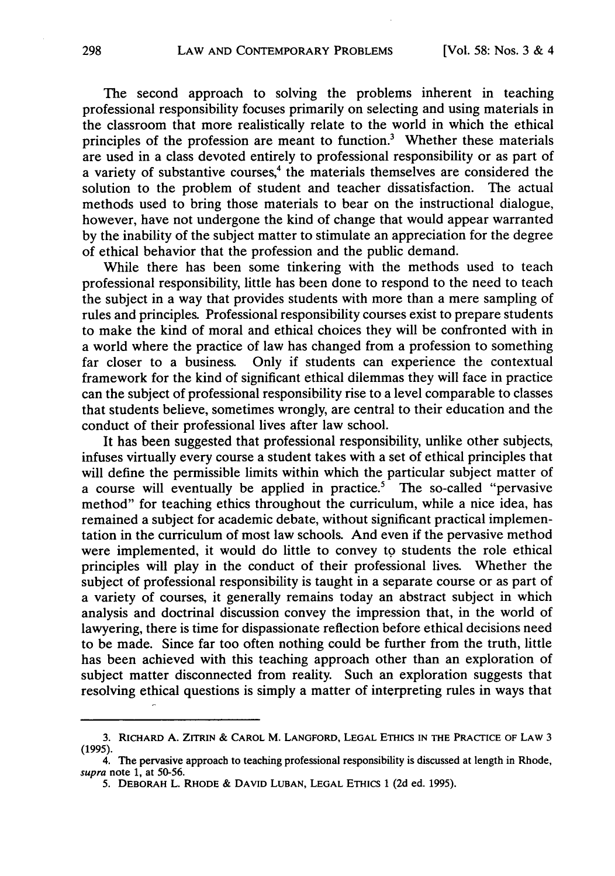The second approach to solving the problems inherent in teaching professional responsibility focuses primarily on selecting and using materials in the classroom that more realistically relate to the world in which the ethical principles of the profession are meant to function.3 Whether these materials are used in a class devoted entirely to professional responsibility or as part of a variety of substantive courses,<sup>4</sup> the materials themselves are considered the solution to the problem of student and teacher dissatisfaction. The actual methods used to bring those materials to bear on the instructional dialogue, however, have not undergone the kind of change that would appear warranted by the inability of the subject matter to stimulate an appreciation for the degree of ethical behavior that the profession and the public demand.

While there has been some tinkering with the methods used to teach professional responsibility, little has been done to respond to the need to teach the subject in a way that provides students with more than a mere sampling of rules and principles. Professional responsibility courses exist to prepare students to make the kind of moral and ethical choices they will be confronted with in a world where the practice of law has changed from a profession to something far closer to a business. Only if students can experience the contextual framework for the kind of significant ethical dilemmas they will face in practice can the subject of professional responsibility rise to a level comparable to classes that students believe, sometimes wrongly, are central to their education and the conduct of their professional lives after law school.

It has been suggested that professional responsibility, unlike other subjects, infuses virtually every course a student takes with a set of ethical principles that will define the permissible limits within which the particular subject matter of a course will eventually be applied in practice.<sup>5</sup> The so-called "pervasive method" for teaching ethics throughout the curriculum, while a nice idea, has remained a subject for academic debate, without significant practical implementation in the curriculum of most law schools. And even if the pervasive method were implemented, it would do little to convey to students the role ethical principles will play in the conduct of their professional lives. Whether the subject of professional responsibility is taught in a separate course or as part of a variety of courses, it generally remains today an abstract subject in which analysis and doctrinal discussion convey the impression that, in the world of lawyering, there is time for dispassionate reflection before ethical decisions need to be made. Since far too often nothing could be further from the truth, little has been achieved with this teaching approach other than an exploration of subject matter disconnected from reality. Such an exploration suggests that resolving ethical questions is simply a matter of interpreting rules in ways that

<sup>3.</sup> **RICHARD A.** ZITRIN **& CAROL** M. **LANGFORD, LEGAL ETHICS IN** THE PRACTICE OF **LAW 3 (1995).**

<sup>4.</sup> The pervasive approach to teaching professional responsibility is discussed at length in Rhode, supra note 1, at 50-56.

**<sup>5.</sup>** DEBORAH **L.** RHODE **& DAVID LUBAN, LEGAL** ETHICS **1** (2d ed. 1995).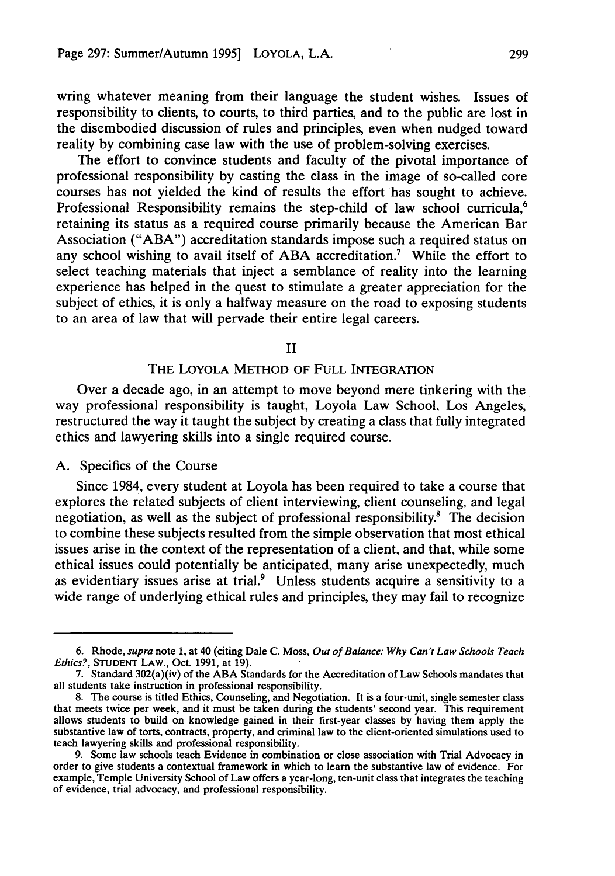wring whatever meaning from their language the student wishes. Issues of responsibility to clients, to courts, to third parties, and to the public are lost in the disembodied discussion of rules and principles, even when nudged toward reality by combining case law with the use of problem-solving exercises.

The effort to convince students and faculty of the pivotal importance of professional responsibility by casting the class in the image of so-called core courses has not yielded the kind of results the effort has sought to achieve. Professional Responsibility remains the step-child of law school curricula.<sup>6</sup> retaining its status as a required course primarily because the American Bar Association ("ABA") accreditation standards impose such a required status on any school wishing to avail itself of ABA accreditation.7 While the effort to select teaching materials that inject a semblance of reality into the learning experience has helped in the quest to stimulate a greater appreciation for the subject of ethics, it is only a halfway measure on the road to exposing students to an area of law that will pervade their entire legal careers.

II

## THE LOYOLA METHOD OF **FULL** INTEGRATION

Over a decade ago, in an attempt to move beyond mere tinkering with the way professional responsibility is taught, Loyola Law School, Los Angeles, restructured the way it taught the subject by creating a class that fully integrated ethics and lawyering skills into a single required course.

#### A. Specifics of the Course

Since 1984, every student at Loyola has been required to take a course that explores the related subjects of client interviewing, client counseling, and legal negotiation, as well as the subject of professional responsibility.8 The decision to combine these subjects resulted from the simple observation that most ethical issues arise in the context of the representation of a client, and that, while some ethical issues could potentially be anticipated, many arise unexpectedly, much as evidentiary issues arise at trial.9 Unless students acquire a sensitivity to a wide range of underlying ethical rules and principles, they may fail to recognize

<sup>6.</sup> Rhode, *supra* note **1,** at 40 (citing Dale C. Moss, *Out of Balance: Why Can't Law Schools Teach Ethics?,* **STUDENT** LAW., Oct. 1991, at 19).

<sup>7.</sup> Standard 302(a)(iv) of the ABA Standards for the Accreditation of Law Schools mandates that all students take instruction in professional responsibility.

<sup>8.</sup> The course is titled Ethics, Counseling, and Negotiation. It is a four-unit, single semester class that meets twice per week, and it must be taken during the students' second year. This requirement allows students to build on knowledge gained in their first-year classes by having them apply the substantive law of torts, contracts, property, and criminal law to the client-oriented simulations used to teach lawyering skills and professional responsibility.

<sup>9.</sup> Some law schools teach Evidence in combination or close association with Trial Advocacy in order to give students a contextual framework in which to learn the substantive law of evidence. For example, Temple University School of Law offers a year-long, ten-unit class that integrates the teaching of evidence, trial advocacy, and professional responsibility.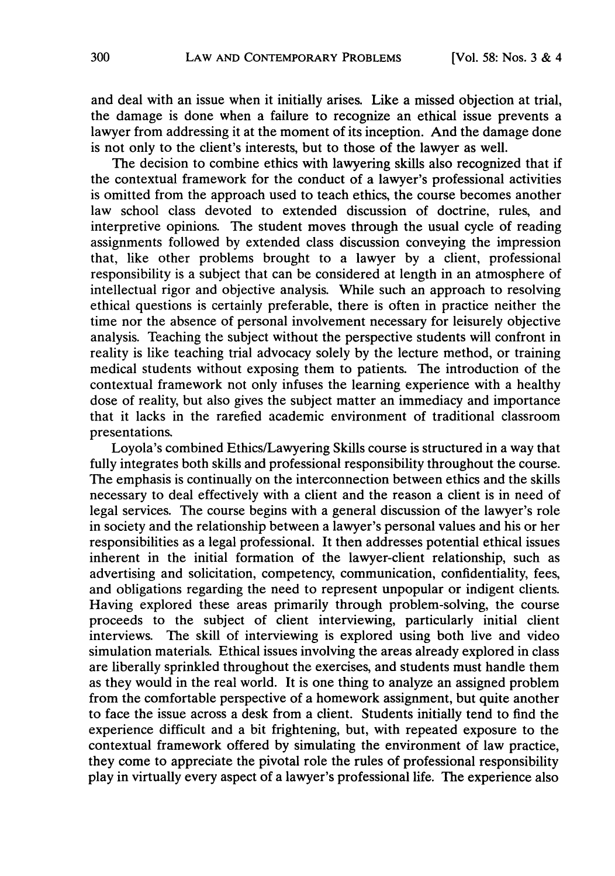and deal with an issue when it initially arises. Like a missed objection at trial, the damage is done when a failure to recognize an ethical issue prevents a lawyer from addressing it at the moment of its inception. And the damage done is not only to the client's interests, but to those of the lawyer as well.

The decision to combine ethics with lawyering skills also recognized that if the contextual framework for the conduct of a lawyer's professional activities is omitted from the approach used to teach ethics, the course becomes another law school class devoted to extended discussion of doctrine, rules, and interpretive opinions. The student moves through the usual cycle of reading assignments followed by extended class discussion conveying the impression that, like other problems brought to a lawyer by a client, professional responsibility is a subject that can be considered at length in an atmosphere of intellectual rigor and objective analysis. While such an approach to resolving ethical questions is certainly preferable, there is often in practice neither the time nor the absence of personal involvement necessary for leisurely objective analysis. Teaching the subject without the perspective students will confront in reality is like teaching trial advocacy solely by the lecture method, or training medical students without exposing them to patients. The introduction of the contextual framework not only infuses the learning experience with a healthy dose of reality, but also gives the subject matter an immediacy and importance that it lacks in the rarefied academic environment of traditional classroom presentations.

Loyola's combined Ethics/Lawyering Skills course is structured in a way that fully integrates both skills and professional responsibility throughout the course. The emphasis is continually on the interconnection between ethics and the skills necessary to deal effectively with a client and the reason a client is in need of legal services. The course begins with a general discussion of the lawyer's role in society and the relationship between a lawyer's personal values and his or her responsibilities as a legal professional. It then addresses potential ethical issues inherent in the initial formation of the lawyer-client relationship, such as advertising and solicitation, competency, communication, confidentiality, fees, and obligations regarding the need to represent unpopular or indigent clients. Having explored these areas primarily through problem-solving, the course proceeds to the subject of client interviewing, particularly initial client interviews. The skill of interviewing is explored using both live and video simulation materials. Ethical issues involving the areas already explored in class are liberally sprinkled throughout the exercises, and students must handle them as they would in the real world. It is one thing to analyze an assigned problem from the comfortable perspective of a homework assignment, but quite another to face the issue across a desk from a client. Students initially tend to find the experience difficult and a bit frightening, but, with repeated exposure to the contextual framework offered by simulating the environment of law practice, they come to appreciate the pivotal role the rules of professional responsibility play in virtually every aspect of a lawyer's professional life. The experience also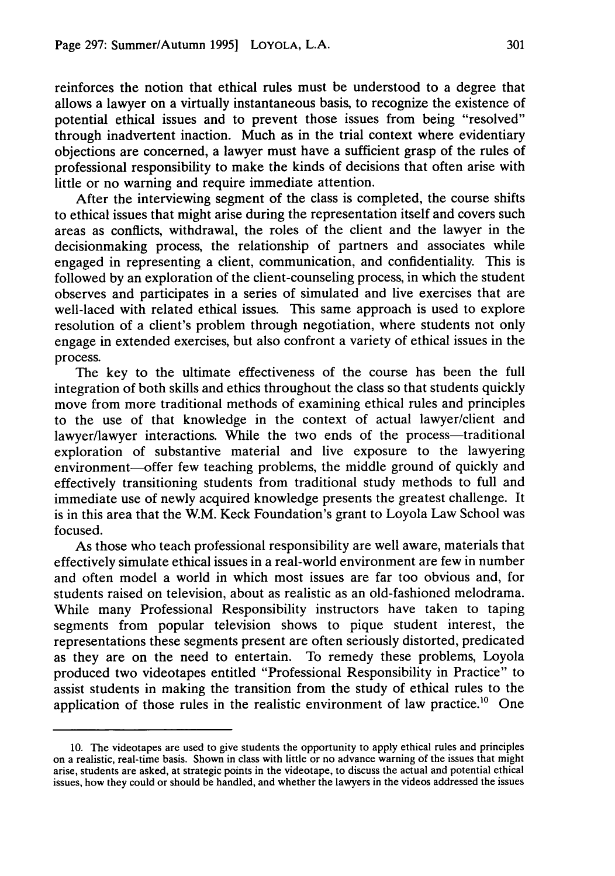reinforces the notion that ethical rules must be understood to a degree that allows a lawyer on a virtually instantaneous basis, to recognize the existence of potential ethical issues and to prevent those issues from being "resolved" through inadvertent inaction. Much as in the trial context where evidentiary objections are concerned, a lawyer must have a sufficient grasp of the rules of professional responsibility to make the kinds of decisions that often arise with little or no warning and require immediate attention.

After the interviewing segment of the class is completed, the course shifts to ethical issues that might arise during the representation itself and covers such areas as conflicts, withdrawal, the roles of the client and the lawyer in the decisionmaking process, the relationship of partners and associates while engaged in representing a client, communication, and confidentiality. This is followed by an exploration of the client-counseling process, in which the student observes and participates in a series of simulated and live exercises that are well-laced with related ethical issues. This same approach is used to explore resolution of a client's problem through negotiation, where students not only engage in extended exercises, but also confront a variety of ethical issues in the process.

The key to the ultimate effectiveness of the course has been the full integration of both skills and ethics throughout the class so that students quickly move from more traditional methods of examining ethical rules and principles to the use of that knowledge in the context of actual lawyer/client and lawyer/lawyer interactions. While the two ends of the process—traditional exploration of substantive material and live exposure to the lawyering environment-offer few teaching problems, the middle ground of quickly and effectively transitioning students from traditional study methods to full and immediate use of newly acquired knowledge presents the greatest challenge. It is in this area that the W.M. Keck Foundation's grant to Loyola Law School was focused.

As those who teach professional responsibility are well aware, materials that effectively simulate ethical issues in a real-world environment are few in number and often model a world in which most issues are far too obvious and, for students raised on television, about as realistic as an old-fashioned melodrama. While many Professional Responsibility instructors have taken to taping segments from popular television shows to pique student interest, the representations these segments present are often seriously distorted, predicated as they are on the need to entertain. To remedy these problems, Loyola produced two videotapes entitled "Professional Responsibility in Practice" to assist students in making the transition from the study of ethical rules to the application of those rules in the realistic environment of law practice.<sup>10</sup> One

<sup>10.</sup> The videotapes are used to give students the opportunity to apply ethical rules and principles on a realistic, real-time basis. Shown in class with little or no advance warning of the issues that might arise, students are asked, at strategic points in the videotape, to discuss the actual and potential ethical issues, how they could or should be handled, and whether the lawyers in the videos addressed the issues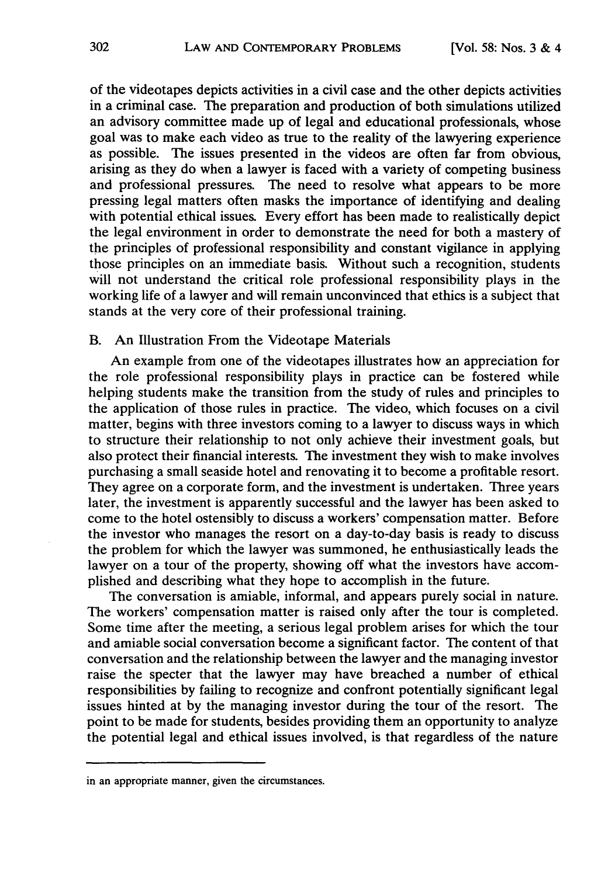of the videotapes depicts activities in a civil case and the other depicts activities in a criminal case. The preparation and production of both simulations utilized an advisory committee made up of legal and educational professionals, whose goal was to make each video as true to the reality of the lawyering experience as possible. The issues presented in the videos are often far from obvious, arising as they do when a lawyer is faced with a variety of competing business and professional pressures. The need to resolve what appears to be more pressing legal matters often masks the importance of identifying and dealing with potential ethical issues. Every effort has been made to realistically depict the legal environment in order to demonstrate the need for both a mastery of the principles of professional responsibility and constant vigilance in applying those principles on an immediate basis. Without such a recognition, students will not understand the critical role professional responsibility plays in the working life of a lawyer and will remain unconvinced that ethics is a subject that stands at the very core of their professional training.

# B. An Illustration From the Videotape Materials

An example from one of the videotapes illustrates how an appreciation for the role professional responsibility plays in practice can be fostered while helping students make the transition from the study of rules and principles to the application of those rules in practice. The video, which focuses on a civil matter, begins with three investors coming to a lawyer to discuss ways in which to structure their relationship to not only achieve their investment goals, but also protect their financial interests. The investment they wish to make involves purchasing a small seaside hotel and renovating it to become a profitable resort. They agree on a corporate form, and the investment is undertaken. Three years later, the investment is apparently successful and the lawyer has been asked to come to the hotel ostensibly to discuss a workers' compensation matter. Before the investor who manages the resort on a day-to-day basis is ready to discuss the problem for which the lawyer was summoned, he enthusiastically leads the lawyer on a tour of the property, showing off what the investors have accomplished and describing what they hope to accomplish in the future.

The conversation is amiable, informal, and appears purely social in nature. The workers' compensation matter is raised only after the tour is completed. Some time after the meeting, a serious legal problem arises for which the tour and amiable social conversation become a significant factor. The content of that conversation and the relationship between the lawyer and the managing investor raise the specter that the lawyer may have breached a number of ethical responsibilities by failing to recognize and confront potentially significant legal issues hinted at by the managing investor during the tour of the resort. The point to be made for students, besides providing them an opportunity to analyze the potential legal and ethical issues involved, is that regardless of the nature

in an appropriate manner, given the circumstances.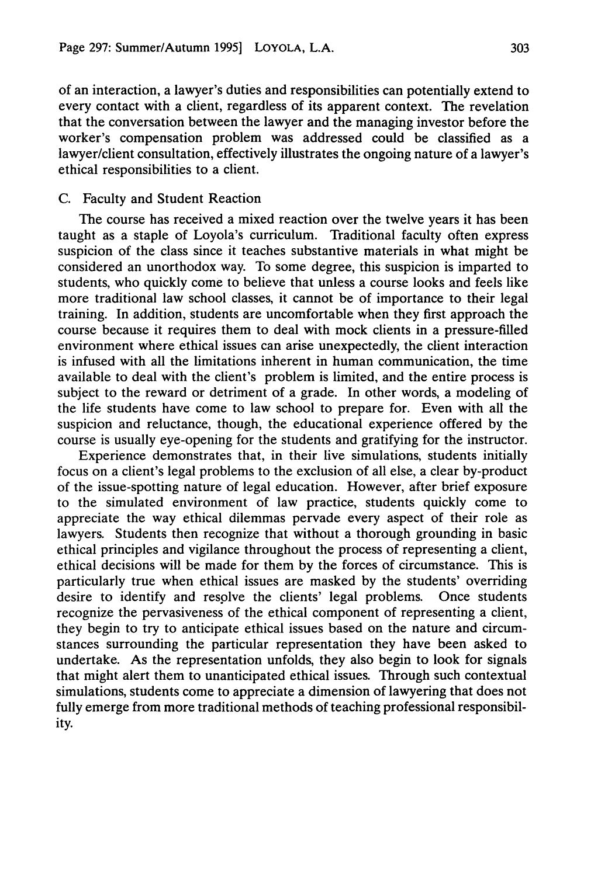of an interaction, a lawyer's duties and responsibilities can potentially extend to every contact with a client, regardless of its apparent context. The revelation that the conversation between the lawyer and the managing investor before the worker's compensation problem was addressed could be classified as a lawyer/client consultation, effectively illustrates the ongoing nature of a lawyer's ethical responsibilities to a client.

#### C. Faculty and Student Reaction

The course has received a mixed reaction over the twelve years it has been taught as a staple of Loyola's curriculum. Traditional faculty often express suspicion of the class since it teaches substantive materials in what might be considered an unorthodox way. To some degree, this suspicion is imparted to students, who quickly come to believe that unless a course looks and feels like more traditional law school classes, it cannot be of importance to their legal training. In addition, students are uncomfortable when they first approach the course because it requires them to deal with mock clients in a pressure-filled environment where ethical issues can arise unexpectedly, the client interaction is infused with all the limitations inherent in human communication, the time available to deal with the client's problem is limited, and the entire process is subject to the reward or detriment of a grade. In other words, a modeling of the life students have come to law school to prepare for. Even with all the suspicion and reluctance, though, the educational experience offered by the course is usually eye-opening for the students and gratifying for the instructor.

Experience demonstrates that, in their live simulations, students initially focus on a client's legal problems to the exclusion of all else, a clear by-product of the issue-spotting nature of legal education. However, after brief exposure to the simulated environment of law practice, students quickly come to appreciate the way ethical dilemmas pervade every aspect of their role as lawyers. Students then recognize that without a thorough grounding in basic ethical principles and vigilance throughout the process of representing a client, ethical decisions will be made for them by the forces of circumstance. This is particularly true when ethical issues are masked by the students' overriding desire to identify and resplve the clients' legal problems. Once students recognize the pervasiveness of the ethical component of representing a client, they begin to try to anticipate ethical issues based on the nature and circumstances surrounding the particular representation they have been asked to undertake. As the representation unfolds, they also begin to look for signals that might alert them to unanticipated ethical issues. Through such contextual simulations, students come to appreciate a dimension of lawyering that does not fully emerge from more traditional methods of teaching professional responsibility.